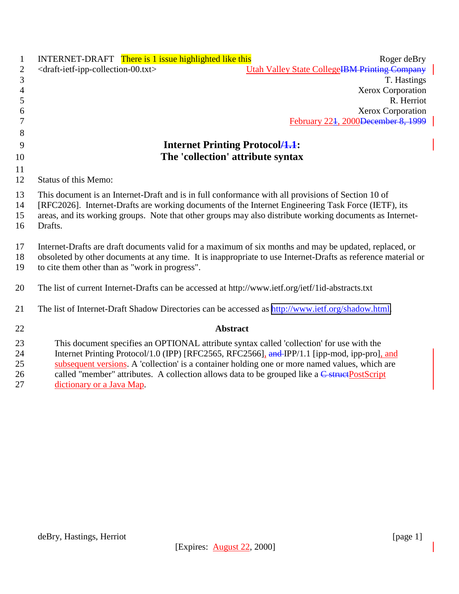| $\mathbf{1}$               | <b>INTERNET-DRAFT</b> There is 1 issue highlighted like this<br>Roger deBry                                                                                                                                                                                                                                                                                                                                               |
|----------------------------|---------------------------------------------------------------------------------------------------------------------------------------------------------------------------------------------------------------------------------------------------------------------------------------------------------------------------------------------------------------------------------------------------------------------------|
| $\mathbf{2}$               | <b>Utah Valley State CollegeIBM Printing Company</b><br><draft-ietf-ipp-collection-00.txt></draft-ietf-ipp-collection-00.txt>                                                                                                                                                                                                                                                                                             |
| 3                          | T. Hastings                                                                                                                                                                                                                                                                                                                                                                                                               |
| $\overline{4}$             | Xerox Corporation                                                                                                                                                                                                                                                                                                                                                                                                         |
| 5                          | R. Herriot                                                                                                                                                                                                                                                                                                                                                                                                                |
| 6                          | Xerox Corporation                                                                                                                                                                                                                                                                                                                                                                                                         |
| 7                          | February 224, 2000 December 8, 1999                                                                                                                                                                                                                                                                                                                                                                                       |
| 8                          |                                                                                                                                                                                                                                                                                                                                                                                                                           |
| 9                          | <b>Internet Printing Protocol</b> /1.1:                                                                                                                                                                                                                                                                                                                                                                                   |
| 10                         | The 'collection' attribute syntax                                                                                                                                                                                                                                                                                                                                                                                         |
| 11                         |                                                                                                                                                                                                                                                                                                                                                                                                                           |
| 12                         | <b>Status of this Memo:</b>                                                                                                                                                                                                                                                                                                                                                                                               |
| 13<br>14<br>15<br>16       | This document is an Internet-Draft and is in full conformance with all provisions of Section 10 of<br>[RFC2026]. Internet-Drafts are working documents of the Internet Engineering Task Force (IETF), its<br>areas, and its working groups. Note that other groups may also distribute working documents as Internet-<br>Drafts.                                                                                          |
| 17<br>18<br>19             | Internet-Drafts are draft documents valid for a maximum of six months and may be updated, replaced, or<br>obsoleted by other documents at any time. It is inappropriate to use Internet-Drafts as reference material or<br>to cite them other than as "work in progress".                                                                                                                                                 |
| 20                         | The list of current Internet-Drafts can be accessed at http://www.ietf.org/ietf/1id-abstracts.txt                                                                                                                                                                                                                                                                                                                         |
| 21                         | The list of Internet-Draft Shadow Directories can be accessed as http://www.ietf.org/shadow.html.                                                                                                                                                                                                                                                                                                                         |
| 22                         | <b>Abstract</b>                                                                                                                                                                                                                                                                                                                                                                                                           |
| 23<br>24<br>25<br>26<br>27 | This document specifies an OPTIONAL attribute syntax called 'collection' for use with the<br>Internet Printing Protocol/1.0 (IPP) [RFC2565, RFC2566], and IPP/1.1 [ipp-mod, ipp-pro], and<br>subsequent versions. A 'collection' is a container holding one or more named values, which are<br>called "member" attributes. A collection allows data to be grouped like a C struct PostScript<br>dictionary or a Java Map. |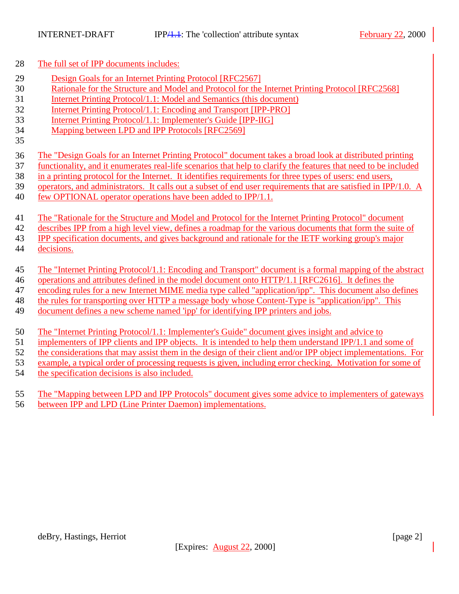The full set of IPP documents includes:

- Design Goals for an Internet Printing Protocol [RFC2567]
- Rationale for the Structure and Model and Protocol for the Internet Printing Protocol [RFC2568]
- Internet Printing Protocol/1.1: Model and Semantics (this document)
- Internet Printing Protocol/1.1: Encoding and Transport [IPP-PRO]
- Internet Printing Protocol/1.1: Implementer's Guide [IPP-IIG]
- Mapping between LPD and IPP Protocols [RFC2569]
- The "Design Goals for an Internet Printing Protocol" document takes a broad look at distributed printing
- functionality, and it enumerates real-life scenarios that help to clarify the features that need to be included
- in a printing protocol for the Internet. It identifies requirements for three types of users: end users,
- operators, and administrators. It calls out a subset of end user requirements that are satisfied in IPP/1.0. A
- few OPTIONAL operator operations have been added to IPP/1.1.

The "Rationale for the Structure and Model and Protocol for the Internet Printing Protocol" document

describes IPP from a high level view, defines a roadmap for the various documents that form the suite of

IPP specification documents, and gives background and rationale for the IETF working group's major

- decisions.
- The "Internet Printing Protocol/1.1: Encoding and Transport" document is a formal mapping of the abstract
- operations and attributes defined in the model document onto HTTP/1.1 [RFC2616]. It defines the
- encoding rules for a new Internet MIME media type called "application/ipp". This document also defines
- the rules for transporting over HTTP a message body whose Content-Type is "application/ipp". This
- document defines a new scheme named 'ipp' for identifying IPP printers and jobs.
- The "Internet Printing Protocol/1.1: Implementer's Guide" document gives insight and advice to
- implementers of IPP clients and IPP objects. It is intended to help them understand IPP/1.1 and some of
- the considerations that may assist them in the design of their client and/or IPP object implementations. For
- example, a typical order of processing requests is given, including error checking. Motivation for some of
- the specification decisions is also included.
- The "Mapping between LPD and IPP Protocols" document gives some advice to implementers of gateways between IPP and LPD (Line Printer Daemon) implementations.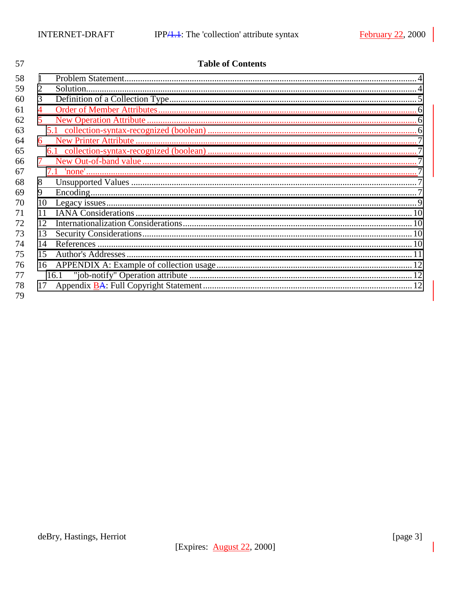| 57 |    | <b>Table of Contents</b> |  |
|----|----|--------------------------|--|
| 58 | 1  |                          |  |
| 59 | 2  |                          |  |
| 60 | 3  |                          |  |
| 61 |    |                          |  |
| 62 |    |                          |  |
| 63 |    |                          |  |
| 64 | 6  |                          |  |
| 65 |    |                          |  |
| 66 |    |                          |  |
| 67 |    |                          |  |
| 68 | 8  |                          |  |
| 69 | 9  |                          |  |
| 70 | 10 |                          |  |
| 71 | 11 |                          |  |
| 72 | 12 |                          |  |
| 73 | 13 |                          |  |
| 74 | 14 |                          |  |
| 75 | 15 |                          |  |
| 76 | 16 |                          |  |
| 77 |    | 16.1                     |  |
| 78 | 17 |                          |  |
| 79 |    |                          |  |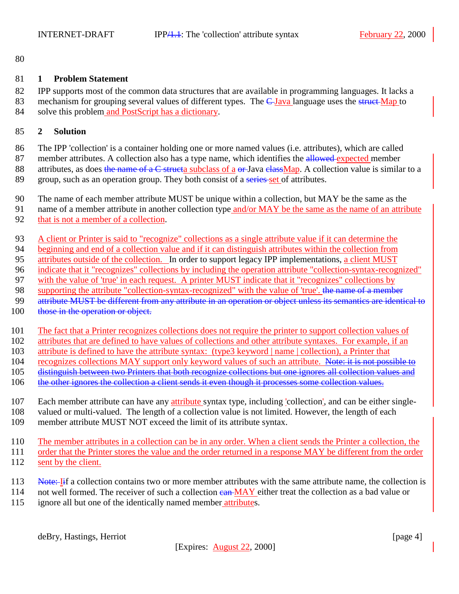<span id="page-3-0"></span>

#### **1 Problem Statement**

 IPP supports most of the common data structures that are available in programming languages. It lacks a 83 mechanism for grouping several values of different types. The C Java language uses the struct Map to solve this problem and PostScript has a dictionary.

#### **2 Solution**

 The IPP 'collection' is a container holding one or more named values (i.e. attributes), which are called 87 member attributes. A collection also has a type name, which identifies the allowed expected member 88 attributes, as does the name of a C structa subclass of a or-Java classMap. A collection value is similar to a 89 group, such as an operation group. They both consist of a series-set of attributes.

- The name of each member attribute MUST be unique within a collection, but MAY be the same as the
- name of a member attribute in another collection type and/or MAY be the same as the name of an attribute
- that is not a member of a collection.
- A client or Printer is said to "recognize" collections as a single attribute value if it can determine the
- beginning and end of a collection value and if it can distinguish attributes within the collection from
- attributes outside of the collection. In order to support legacy IPP implementations, a client MUST
- indicate that it "recognizes" collections by including the operation attribute "collection-syntax-recognized"
- with the value of 'true' in each request. A printer MUST indicate that it "recognizes" collections by
- 98 supporting the attribute "collection-syntax-recognized" with the value of 'true'. the name of a member
- 99 attribute MUST be different from any attribute in an operation or object unless its semantics are identical to 100 those in the operation or object.
- The fact that a Printer recognizes collections does not require the printer to support collection values of
- attributes that are defined to have values of collections and other attribute syntaxes. For example, if an
- attribute is defined to have the attribute syntax: (type3 keyword | name | collection), a Printer that
- 104 recognizes collections MAY support only keyword values of such an attribute. Note: it is not possible to
- distinguish between two Printers that both recognize collections but one ignores all collection values and
- 106 the other ignores the collection a client sends it even though it processes some collection values.
- Each member attribute can have any attribute syntax type, including 'collection', and can be either single-
- valued or multi-valued. The length of a collection value is not limited. However, the length of each
- member attribute MUST NOT exceed the limit of its attribute syntax.
- The member attributes in a collection can be in any order. When a client sends the Printer a collection, the order that the Printer stores the value and the order returned in a response MAY be different from the order 112 sent by the client.
- 113 Note: Iif a collection contains two or more member attributes with the same attribute name, the collection is
- 114 not well formed. The receiver of such a collection ean MAY either treat the collection as a bad value or ignore all but one of the identically named member attributes.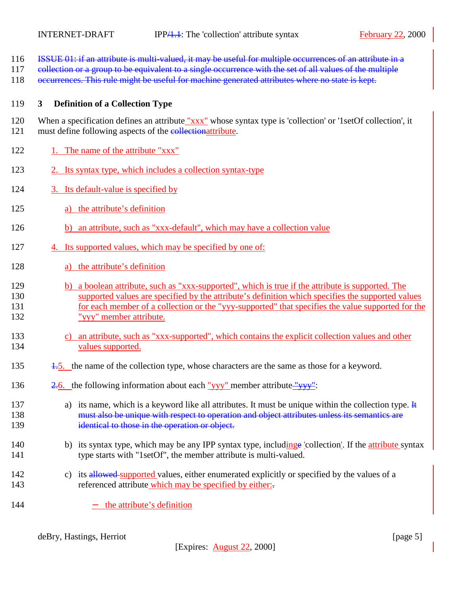- <span id="page-4-0"></span>116 ISSUE 01: if an attribute is multi-valued, it may be useful for multiple occurrences of an attribute in a
- 117 eollection or a group to be equivalent to a single occurrence with the set of all values of the multiple
- 118 occurrences. This rule might be useful for machine generated attributes where no state is kept.

#### 119 **3 Definition of a Collection Type**

120 When a specification defines an attribute "xxx" whose syntax type is 'collection' or '1setOf collection', it 121 must define following aspects of the collectionattribute.

- 122 1. The name of the attribute "xxx"
- 123 2. Its syntax type, which includes a collection syntax-type
- 124 3. Its default-value is specified by
- 125 a) the attribute's definition
- 126 b) an attribute, such as "xxx-default", which may have a collection value
- 127 4. Its supported values, which may be specified by one of:
- 128 a) the attribute's definition
- 129 b) a boolean attribute, such as "xxx-supported", which is true if the attribute is supported. The 130 supported values are specified by the attribute's definition which specifies the supported values 131 for each member of a collection or the "yyy-supported" that specifies the value supported for the 132 "yyy" member attribute.
- 133 c) an attribute, such as "xxx-supported", which contains the explicit collection values and other 134 values supported.
- 135 1.5. the name of the collection type, whose characters are the same as those for a keyword.
- 136  $\frac{2.6}{136}$  the following information about each "yyy" member attribute "yyy":
- 137 a) its name, which is a keyword like all attributes. It must be unique within the collection type.  $\frac{1}{k}$ 138 must also be unique with respect to operation and object attributes unless its semantics are 139 **identical to those in the operation or object.**
- 140 b) its syntax type, which may be any IPP syntax type, includinge 'collection'. If the attribute syntax 141 type starts with "1setOf", the member attribute is multi-valued.
- 142 c) its allowed supported values, either enumerated explicitly or specified by the values of a 143 referenced attribute which may be specified by either:
- 144 − the attribute's definition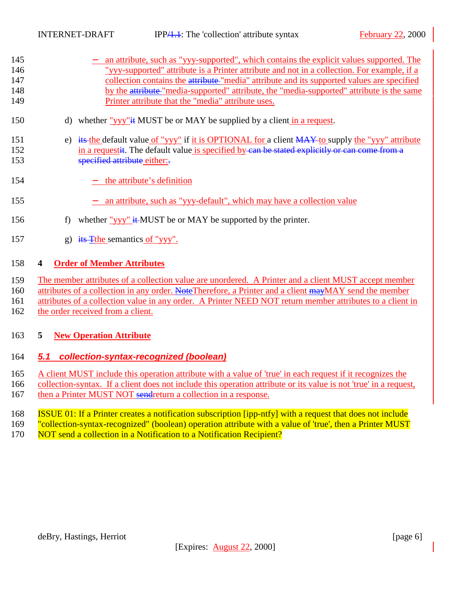<span id="page-5-0"></span>

| 145 | an attribute, such as "yyy-supported", which contains the explicit values supported. The    |
|-----|---------------------------------------------------------------------------------------------|
| 146 | "vyv-supported" attribute is a Printer attribute and not in a collection. For example, if a |
| 147 | collection contains the attribute-"media" attribute and its supported values are specified  |
| 148 | by the attribute-"media-supported" attribute, the "media-supported" attribute is the same   |
| 149 | Printer attribute that the "media" attribute uses.                                          |
|     |                                                                                             |

- 150 d) whether "yyy" $\pm$  MUST be or MAY be supplied by a client in a request.
- 151 e) its the default value of "yyy" if it is OPTIONAL for a client MAY to supply the "yyy" attribute 152 in a requestit. The default value is specified by can be stated explicitly or can come from a 153 specified attribute either:
- 154 − the attribute's definition
- 155 − an attribute, such as "yyy-default", which may have a collection value
- 156 f) whether "yyy" it MUST be or MAY be supported by the printer.
- 157 g) its Tthe semantics of "yyy".

## 158 **4 Order of Member Attributes**

- 159 The member attributes of a collection value are unordered. A Printer and a client MUST accept member
- 160 attributes of a collection in any order. Note Therefore, a Printer and a client  $\frac{1}{2}$  max MAY send the member
- 161 attributes of a collection value in any order. A Printer NEED NOT return member attributes to a client in
- 162 the order received from a client.

# 163 **5 New Operation Attribute**

# 164 *5.1 collection-syntax-recognized (boolean)*

- 165 A client MUST include this operation attribute with a value of 'true' in each request if it recognizes the
- 166 collection-syntax. If a client does not include this operation attribute or its value is not 'true' in a request,
- 167 then a Printer MUST NOT sendreturn a collection in a response.
- 168 ISSUE 01: If a Printer creates a notification subscription [ipp-ntfy] with a request that does not include
- 169 "collection-syntax-recognized" (boolean) operation attribute with a value of 'true', then a Printer MUST
- 170 NOT send a collection in a Notification to a Notification Recipient?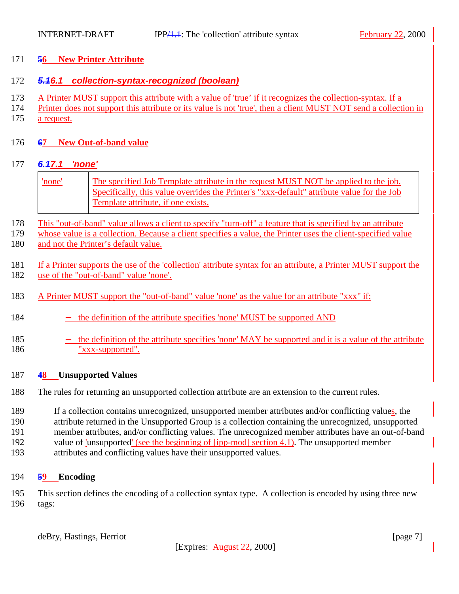### <span id="page-6-0"></span>**56 New Printer Attribute**

## *5.16.1 collection-syntax-recognized (boolean)*

- A Printer MUST support this attribute with a value of 'true' if it recognizes the collection-syntax. If a
- Printer does not support this attribute or its value is not 'true', then a client MUST NOT send a collection in a request.
- **67 New Out-of-band value**

# *6.17.1 'none'*

- 'none' The specified Job Template attribute in the request MUST NOT be applied to the job. Specifically, this value overrides the Printer's "xxx-default" attribute value for the Job Template attribute, if one exists.
- This "out-of-band" value allows a client to specify "turn-off" a feature that is specified by an attribute
- whose value is a collection. Because a client specifies a value, the Printer uses the client-specified value and not the Printer's default value.
- If a Printer supports the use of the 'collection' attribute syntax for an attribute, a Printer MUST support the use of the "out-of-band" value 'none'.
- A Printer MUST support the "out-of-band" value 'none' as the value for an attribute "xxx" if:
- 184 − the definition of the attribute specifies 'none' MUST be supported AND
- − the definition of the attribute specifies 'none' MAY be supported and it is a value of the attribute "xxx-supported".

### **48 Unsupported Values**

- The rules for returning an unsupported collection attribute are an extension to the current rules.
- If a collection contains unrecognized, unsupported member attributes and/or conflicting values, the
- attribute returned in the Unsupported Group is a collection containing the unrecognized, unsupported
- member attributes, and/or conflicting values. The unrecognized member attributes have an out-of-band
- value of 'unsupported' (see the beginning of [ipp-mod] section 4.1). The unsupported member
- attributes and conflicting values have their unsupported values.

# **59 Encoding**

 This section defines the encoding of a collection syntax type. A collection is encoded by using three new tags:

deBry, Hastings, Herriot [page 7]

[Expires: August 22, 2000]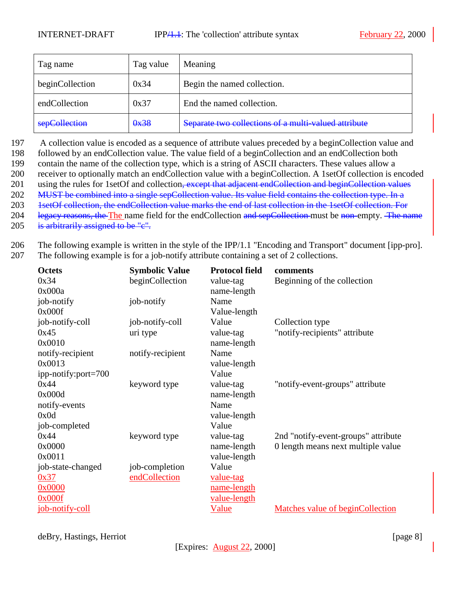| Tag name        | Tag value | Meaning                                              |
|-----------------|-----------|------------------------------------------------------|
| beginCollection | 0x34      | Begin the named collection.                          |
| endCollection   | 0x37      | End the named collection.                            |
| sepCollection   | 0x38      | Separate two collections of a multi-valued attribute |

197 A collection value is encoded as a sequence of attribute values preceded by a beginCollection value and

198 followed by an endCollection value. The value field of a beginCollection and an endCollection both

199 contain the name of the collection type, which is a string of ASCII characters. These values allow a

200 receiver to optionally match an endCollection value with a beginCollection. A 1setOf collection is encoded

201 using the rules for 1setOf and collection<del>, except that adjacent endCollection and beginCollection values</del> 202 MUST be combined into a single sepCollection value. Its value field contains the collection type. In a

203 1setOf collection, the endCollection value marks the end of last collection in the 1setOf collection. For

204 legacy reasons, the The name field for the endCollection and sepCollection must be non-empty. The name

205 is arbitrarily assigned to be "c".

206 The following example is written in the style of the IPP/1.1 "Encoding and Transport" document [ipp-pro].

207 The following example is for a job-notify attribute containing a set of 2 collections.

| <b>Octets</b>       | <b>Symbolic Value</b> | <b>Protocol field</b> | comments                            |
|---------------------|-----------------------|-----------------------|-------------------------------------|
| 0x34                | beginCollection       | value-tag             | Beginning of the collection         |
| 0x000a              |                       | name-length           |                                     |
| job-notify          | job-notify            | Name                  |                                     |
| 0x000f              |                       | Value-length          |                                     |
| job-notify-coll     | job-notify-coll       | Value                 | Collection type                     |
| 0x45                | uri type              | value-tag             | "notify-recipients" attribute       |
| 0x0010              |                       | name-length           |                                     |
| notify-recipient    | notify-recipient      | Name                  |                                     |
| 0x0013              |                       | value-length          |                                     |
| ipp-notify:port=700 |                       | Value                 |                                     |
| 0x44                | keyword type          | value-tag             | "notify-event-groups" attribute     |
| 0x000d              |                       | name-length           |                                     |
| notify-events       |                       | Name                  |                                     |
| 0x0d                |                       | value-length          |                                     |
| job-completed       |                       | Value                 |                                     |
| 0x44                | keyword type          | value-tag             | 2nd "notify-event-groups" attribute |
| 0x0000              |                       | name-length           | 0 length means next multiple value  |
| 0x0011              |                       | value-length          |                                     |
| job-state-changed   | job-completion        | Value                 |                                     |
| 0x37                | endCollection         | value-tag             |                                     |
| 0x0000              |                       | name-length           |                                     |
| 0x000f              |                       | value-length          |                                     |
| job-notify-coll     |                       | Value                 | Matches value of beginCollection    |

deBry, Hastings, Herriot [page 8]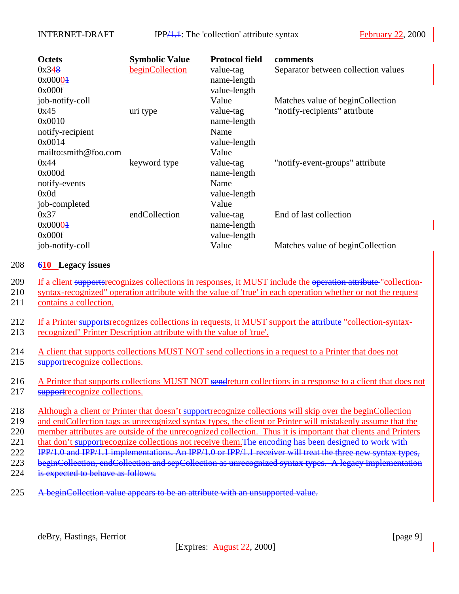<span id="page-8-0"></span>

| <b>Octets</b>        | <b>Symbolic Value</b> | <b>Protocol field</b> | comments                            |
|----------------------|-----------------------|-----------------------|-------------------------------------|
| 0x348                | beginCollection       | value-tag             | Separator between collection values |
| 0x00004              |                       | name-length           |                                     |
| 0x000f               |                       | value-length          |                                     |
| job-notify-coll      |                       | Value                 | Matches value of beginCollection    |
| 0x45                 | uri type              | value-tag             | "notify-recipients" attribute       |
| 0x0010               |                       | name-length           |                                     |
| notify-recipient     |                       | Name                  |                                     |
| 0x0014               |                       | value-length          |                                     |
| mailto:smith@foo.com |                       | Value                 |                                     |
| 0x44                 | keyword type          | value-tag             | "notify-event-groups" attribute     |
| 0x000d               |                       | name-length           |                                     |
| notify-events        |                       | Name                  |                                     |
| 0x0d                 |                       | value-length          |                                     |
| job-completed        |                       | Value                 |                                     |
| 0x37                 | endCollection         | value-tag             | End of last collection              |
| 0x00004              |                       | name-length           |                                     |
| 0x000f               |                       | value-length          |                                     |
| job-notify-coll      |                       | Value                 | Matches value of beginCollection    |

#### 208 **610 Legacy issues**

- 209 If a client supportsrecognizes collections in responses, it MUST include the operation attribute "collection-
- 210 syntax-recognized" operation attribute with the value of 'true' in each operation whether or not the request
- 211 contains a collection.
- 212 If a Printer supports recognizes collections in requests, it MUST support the attribute "collection-syntax-213 recognized" Printer Description attribute with the value of 'true'.
- 214 A client that supports collections MUST NOT send collections in a request to a Printer that does not 215 supportrecognize collections.
- 216 A Printer that supports collections MUST NOT sendreturn collections in a response to a client that does not 217 supportrecognize collections.
- 218 Although a client or Printer that doesn't supportrecognize collections will skip over the beginCollection
- 219 and endCollection tags as unrecognized syntax types, the client or Printer will mistakenly assume that the
- 220 member attributes are outside of the unrecognized collection. Thus it is important that clients and Printers
- 221 that don't supportrecognize collections not receive them. The encoding has been designed to work with
- 222 IPP/1.0 and IPP/1.1 implementations. An IPP/1.0 or IPP/1.1 receiver will treat the three new syntax types,
- 223 beginCollection, endCollection and sepCollection as unrecognized syntax types. A legacy implementation
- 224 is expected to behave as follows.
- 225 A beginCollection value appears to be an attribute with an unsupported value.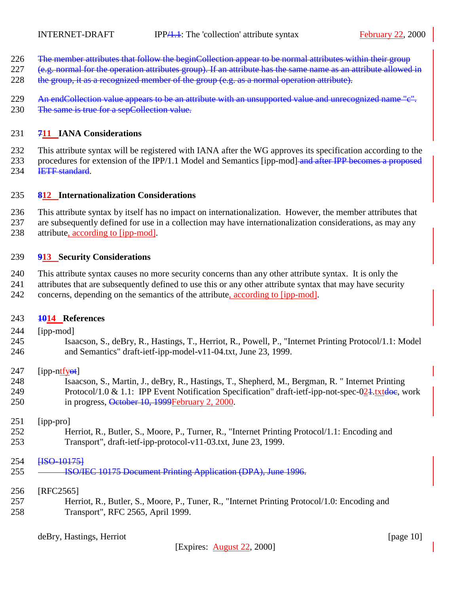- <span id="page-9-0"></span>226 The member attributes that follow the beginCollection appear to be normal attributes within their group
- 227 (e.g. normal for the operation attributes group). If an attribute has the same name as an attribute allowed in
- 228 the group, it as a recognized member of the group (e.g. as a normal operation attribute).
- 229 An endCollection value appears to be an attribute with an unsupported value and unrecognized name "c". 230 The same is true for a sepCollection value.

### **711 IANA Considerations**

 This attribute syntax will be registered with IANA after the WG approves its specification according to the 233 procedures for extension of the IPP/1.1 Model and Semantics [ipp-mod] and after IPP becomes a proposed **IETF** standard.

### **812 Internationalization Considerations**

 This attribute syntax by itself has no impact on internationalization. However, the member attributes that are subsequently defined for use in a collection may have internationalization considerations, as may any attribute, according to [ipp-mod].

### **913 Security Considerations**

This attribute syntax causes no more security concerns than any other attribute syntax. It is only the

 attributes that are subsequently defined to use this or any other attribute syntax that may have security concerns, depending on the semantics of the attribute, according to [ipp-mod].

### **1014 References**

- [ipp-mod]
- Isaacson, S., deBry, R., Hastings, T., Herriot, R., Powell, P., "Internet Printing Protocol/1.1: Model and Semantics" draft-ietf-ipp-model-v11-04.txt, June 23, 1999.

### 247  $[pp-ntfy<sub>et</sub>]$

 Isaacson, S., Martin, J., deBry, R., Hastings, T., Shepherd, M., Bergman, R. " Internet Printing 249 Protocol/1.0 & 1.1: IPP Event Notification Specification" draft-ietf-ipp-not-spec-024.txtdoe, work 250 in progress, October 10, 1999February 2, 2000.

#### [ipp-pro]

 Herriot, R., Butler, S., Moore, P., Turner, R., "Internet Printing Protocol/1.1: Encoding and Transport", draft-ietf-ipp-protocol-v11-03.txt, June 23, 1999.

#### **HSO-101751**

**ISO/IEC 10175 Document Printing Application (DPA), June 1996.** 

### [RFC2565]

 Herriot, R., Butler, S., Moore, P., Tuner, R., "Internet Printing Protocol/1.0: Encoding and Transport", RFC 2565, April 1999.

deBry, Hastings, Herriot [page 10]

[Expires: August 22, 2000]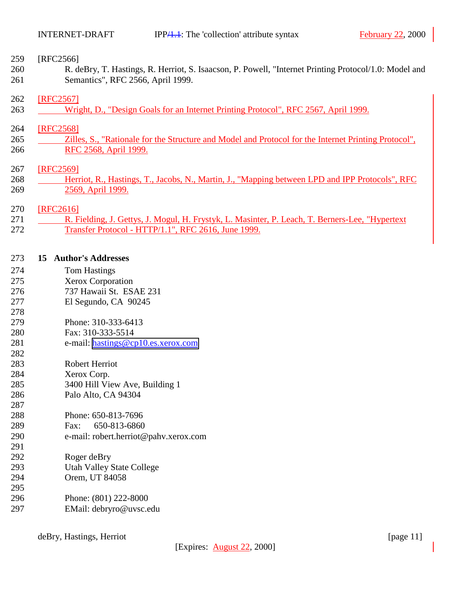### <span id="page-10-0"></span>[RFC2566]

 R. deBry, T. Hastings, R. Herriot, S. Isaacson, P. Powell, "Internet Printing Protocol/1.0: Model and Semantics", RFC 2566, April 1999.

#### [RFC2567]

263 Wright, D., "Design Goals for an Internet Printing Protocol", RFC 2567, April 1999.

### [RFC2568]

265 Zilles, S., "Rationale for the Structure and Model and Protocol for the Internet Printing Protocol", 266 RFC 2568, April 1999.

#### [RFC2569]

268 Herriot, R., Hastings, T., Jacobs, N., Martin, J., "Mapping between LPD and IPP Protocols", RFC 2569, April 1999.

#### [RFC2616]

271 R. Fielding, J. Gettys, J. Mogul, H. Frystyk, L. Masinter, P. Leach, T. Berners-Lee, "Hypertext Transfer Protocol - HTTP/1.1", RFC 2616, June 1999.

#### **15 Author's Addresses**

- Tom Hastings
- Xerox Corporation
- 737 Hawaii St. ESAE 231
- El Segundo, CA 90245
- Phone: 310-333-6413
- Fax: 310-333-5514
- e-mail: [hastings@cp10.es.xerox.com](mailto:hastings@cp10.es.xerox.com)
- Robert Herriot
- Xerox Corp.
- 3400 Hill View Ave, Building 1
- Palo Alto, CA 94304
- Phone: 650-813-7696
- Fax: 650-813-6860
- e-mail: robert.herriot@pahv.xerox.com
- Roger deBry
- Utah Valley State College
- Orem, UT 84058
- Phone: (801) 222-8000 EMail: debryro@uvsc.edu

deBry, Hastings, Herriot [page 11]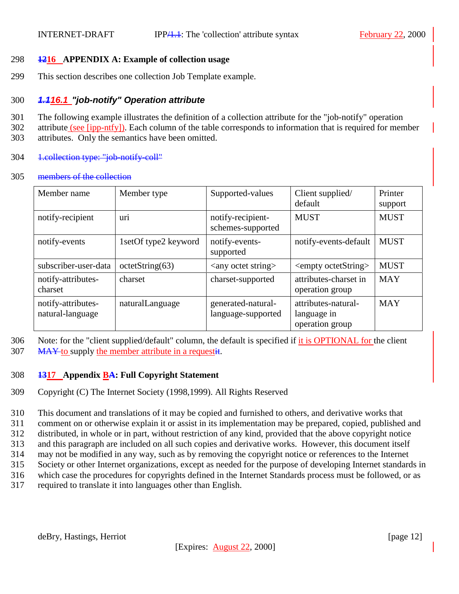### <span id="page-11-0"></span>298 **1216 APPENDIX A: Example of collection usage**

299 This section describes one collection Job Template example.

# 300 *1.116.1 "job-notify" Operation attribute*

- 301 The following example illustrates the definition of a collection attribute for the "job-notify" operation
- 302 attribute (see [ipp-ntfy]). Each column of the table corresponds to information that is required for member
- 303 attributes. Only the semantics have been omitted.
- 304 1.collection type: "job-notify-coll"

### 305 members of the collection

| Member name                            | Member type          | Supported-values                         | Client supplied/<br>default                           | Printer<br>support |
|----------------------------------------|----------------------|------------------------------------------|-------------------------------------------------------|--------------------|
| notify-recipient                       | uri                  | notify-recipient-<br>schemes-supported   | <b>MUST</b>                                           | <b>MUST</b>        |
| notify-events                          | 1setOf type2 keyword | notify-events-<br>supported              | notify-events-default                                 | <b>MUST</b>        |
| subscriber-user-data                   | octetString(63)      | $\langle$ any octet string $>$           | <empty octetstring=""></empty>                        | <b>MUST</b>        |
| notify-attributes-<br>charset          | charset              | charset-supported                        | attributes-charset in<br>operation group              | <b>MAY</b>         |
| notify-attributes-<br>natural-language | naturalLanguage      | generated-natural-<br>language-supported | attributes-natural-<br>language in<br>operation group | <b>MAY</b>         |

306 Note: for the "client supplied/default" column, the default is specified if it is OPTIONAL for the client 307 MAY to supply the member attribute in a requestit.

## 308 **1317 Appendix BA: Full Copyright Statement**

309 Copyright (C) The Internet Society (1998,1999). All Rights Reserved

310 This document and translations of it may be copied and furnished to others, and derivative works that 311 comment on or otherwise explain it or assist in its implementation may be prepared, copied, published and

312 distributed, in whole or in part, without restriction of any kind, provided that the above copyright notice

- 313 and this paragraph are included on all such copies and derivative works. However, this document itself
- 314 may not be modified in any way, such as by removing the copyright notice or references to the Internet
- 315 Society or other Internet organizations, except as needed for the purpose of developing Internet standards in
- 316 which case the procedures for copyrights defined in the Internet Standards process must be followed, or as
- 317 required to translate it into languages other than English.